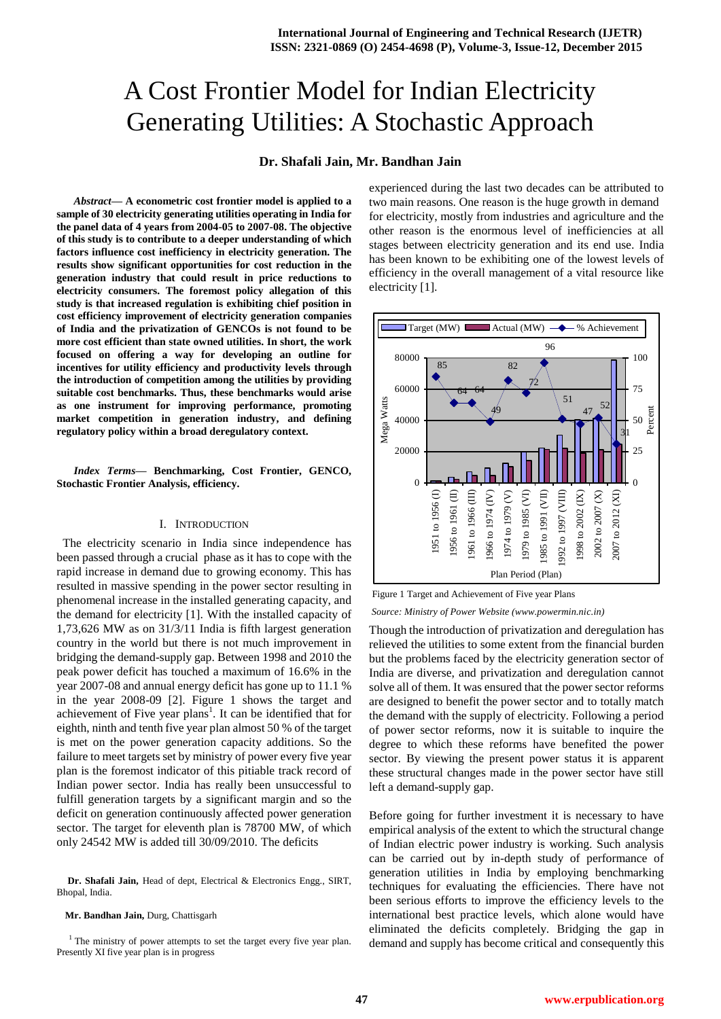# A Cost Frontier Model for Indian Electricity Generating Utilities: A Stochastic Approach

## **Dr. Shafali Jain, Mr. Bandhan Jain**

*Abstract***— A econometric cost frontier model is applied to a sample of 30 electricity generating utilities operating in India for the panel data of 4 years from 2004-05 to 2007-08. The objective of this study is to contribute to a deeper understanding of which factors influence cost inefficiency in electricity generation. The results show significant opportunities for cost reduction in the generation industry that could result in price reductions to electricity consumers. The foremost policy allegation of this study is that increased regulation is exhibiting chief position in cost efficiency improvement of electricity generation companies of India and the privatization of GENCOs is not found to be more cost efficient than state owned utilities. In short, the work focused on offering a way for developing an outline for incentives for utility efficiency and productivity levels through the introduction of competition among the utilities by providing suitable cost benchmarks. Thus, these benchmarks would arise as one instrument for improving performance, promoting market competition in generation industry, and defining regulatory policy within a broad deregulatory context.**

#### *Index Terms***— Benchmarking, Cost Frontier, GENCO, Stochastic Frontier Analysis, efficiency.**

## I. INTRODUCTION

 The electricity scenario in India since independence has been passed through a crucial phase as it has to cope with the rapid increase in demand due to growing economy. This has resulted in massive spending in the power sector resulting in phenomenal increase in the installed generating capacity, and the demand for electricity [1]. With the installed capacity of 1,73,626 MW as on 31/3/11 India is fifth largest generation country in the world but there is not much improvement in bridging the demand-supply gap. Between 1998 and 2010 the peak power deficit has touched a maximum of 16.6% in the year 2007-08 and annual energy deficit has gone up to 11.1 % in the year 2008-09 [2]. Figure 1 shows the target and achievement of Five year plans<sup>1</sup>. It can be identified that for eighth, ninth and tenth five year plan almost 50 % of the target is met on the power generation capacity additions. So the failure to meet targets set by ministry of power every five year plan is the foremost indicator of this pitiable track record of Indian power sector. India has really been unsuccessful to fulfill generation targets by a significant margin and so the deficit on generation continuously affected power generation sector. The target for eleventh plan is 78700 MW, of which only 24542 MW is added till 30/09/2010. The deficits

**Dr. Shafali Jain,** Head of dept, Electrical & Electronics Engg., SIRT, Bhopal, India.

#### **Mr. Bandhan Jain,** Durg, Chattisgarh

<sup>1</sup> The ministry of power attempts to set the target every five year plan. Presently XI five year plan is in progress

experienced during the last two decades can be attributed to two main reasons. One reason is the huge growth in demand for electricity, mostly from industries and agriculture and the other reason is the enormous level of inefficiencies at all stages between electricity generation and its end use. India has been known to be exhibiting one of the lowest levels of efficiency in the overall management of a vital resource like electricity [1].



Figure 1 Target and Achievement of Five year Plans *Source: Ministry of Power Website (www.powermin.nic.in)* 

Though the introduction of privatization and deregulation has relieved the utilities to some extent from the financial burden but the problems faced by the electricity generation sector of India are diverse, and privatization and deregulation cannot solve all of them. It was ensured that the power sector reforms are designed to benefit the power sector and to totally match the demand with the supply of electricity. Following a period of power sector reforms, now it is suitable to inquire the degree to which these reforms have benefited the power sector. By viewing the present power status it is apparent these structural changes made in the power sector have still left a demand-supply gap.

Before going for further investment it is necessary to have empirical analysis of the extent to which the structural change of Indian electric power industry is working. Such analysis can be carried out by in-depth study of performance of generation utilities in India by employing benchmarking techniques for evaluating the efficiencies. There have not been serious efforts to improve the efficiency levels to the international best practice levels, which alone would have eliminated the deficits completely. Bridging the gap in demand and supply has become critical and consequently this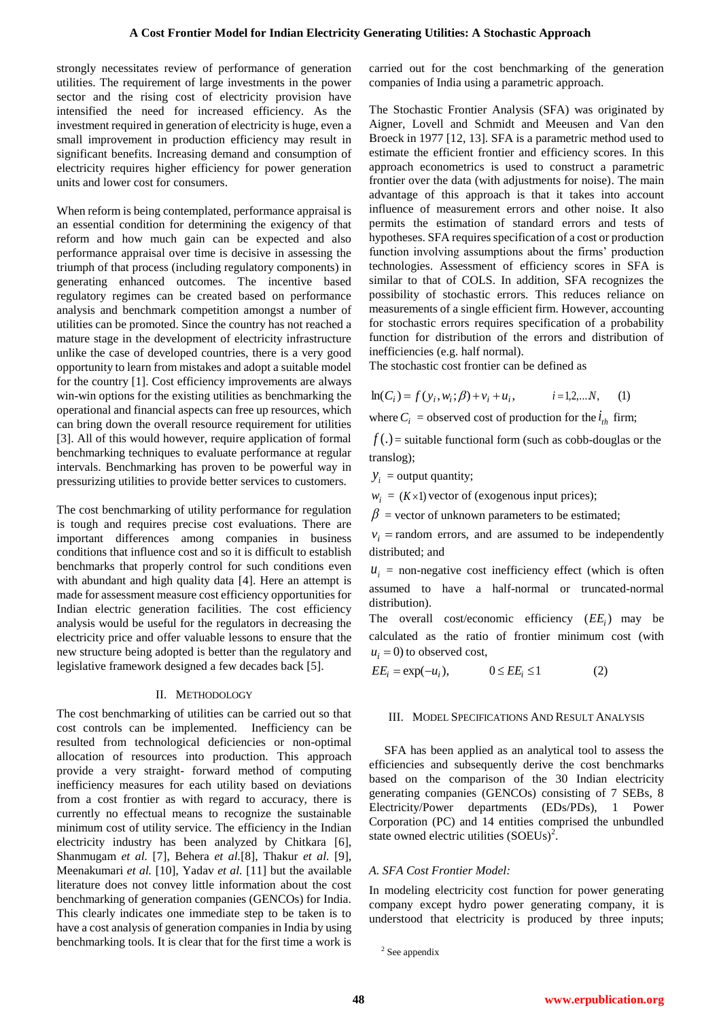strongly necessitates review of performance of generation utilities. The requirement of large investments in the power sector and the rising cost of electricity provision have intensified the need for increased efficiency. As the investment required in generation of electricity is huge, even a small improvement in production efficiency may result in significant benefits. Increasing demand and consumption of electricity requires higher efficiency for power generation units and lower cost for consumers.

When reform is being contemplated, performance appraisal is an essential condition for determining the exigency of that reform and how much gain can be expected and also performance appraisal over time is decisive in assessing the triumph of that process (including regulatory components) in generating enhanced outcomes. The incentive based regulatory regimes can be created based on performance analysis and benchmark competition amongst a number of utilities can be promoted. Since the country has not reached a mature stage in the development of electricity infrastructure unlike the case of developed countries, there is a very good opportunity to learn from mistakes and adopt a suitable model for the country [1]. Cost efficiency improvements are always win-win options for the existing utilities as benchmarking the operational and financial aspects can free up resources, which can bring down the overall resource requirement for utilities [3]. All of this would however, require application of formal benchmarking techniques to evaluate performance at regular intervals. Benchmarking has proven to be powerful way in pressurizing utilities to provide better services to customers.

The cost benchmarking of utility performance for regulation is tough and requires precise cost evaluations. There are important differences among companies in business conditions that influence cost and so it is difficult to establish benchmarks that properly control for such conditions even with abundant and high quality data [4]. Here an attempt is made for assessment measure cost efficiency opportunities for Indian electric generation facilities. The cost efficiency analysis would be useful for the regulators in decreasing the electricity price and offer valuable lessons to ensure that the new structure being adopted is better than the regulatory and legislative framework designed a few decades back [5].

### II. METHODOLOGY

The cost benchmarking of utilities can be carried out so that cost controls can be implemented. Inefficiency can be resulted from technological deficiencies or non-optimal allocation of resources into production. This approach provide a very straight- forward method of computing inefficiency measures for each utility based on deviations from a cost frontier as with regard to accuracy, there is currently no effectual means to recognize the sustainable minimum cost of utility service. The efficiency in the Indian electricity industry has been analyzed by Chitkara [6], Shanmugam *et al.* [7], Behera *et al.*[8], Thakur *et al.* [9], Meenakumari *et al.* [10], Yadav *et al.* [11] but the available literature does not convey little information about the cost benchmarking of generation companies (GENCOs) for India. This clearly indicates one immediate step to be taken is to have a cost analysis of generation companies in India by using benchmarking tools. It is clear that for the first time a work is carried out for the cost benchmarking of the generation companies of India using a parametric approach.

The Stochastic Frontier Analysis (SFA) was originated by Aigner, Lovell and Schmidt and Meeusen and Van den Broeck in 1977 [12, 13]. SFA is a parametric method used to estimate the efficient frontier and efficiency scores. In this approach econometrics is used to construct a parametric frontier over the data (with adjustments for noise). The main advantage of this approach is that it takes into account influence of measurement errors and other noise. It also permits the estimation of standard errors and tests of hypotheses. SFA requires specification of a cost or production function involving assumptions about the firms' production technologies. Assessment of efficiency scores in SFA is similar to that of COLS. In addition, SFA recognizes the possibility of stochastic errors. This reduces reliance on measurements of a single efficient firm. However, accounting for stochastic errors requires specification of a probability function for distribution of the errors and distribution of inefficiencies (e.g. half normal).

The stochastic cost frontier can be defined as

$$
\ln(C_i) = f(y_i, w_i; \beta) + v_i + u_i, \qquad i = 1, 2, \dots N, \qquad (1)
$$

where  $C_i$  = observed cost of production for the  $i_{th}$  firm;

 $f(.)$  = suitable functional form (such as cobb-douglas or the translog);

 $y_i$  = output quantity;

 $w_i = (K \times 1)$  vector of (exogenous input prices);

 $\beta$  = vector of unknown parameters to be estimated;

 $v_i$  = random errors, and are assumed to be independently distributed; and

 $u_i$  = non-negative cost inefficiency effect (which is often assumed to have a half-normal or truncated-normal distribution).

The overall cost/economic efficiency  $(EE_i)$  may be calculated as the ratio of frontier minimum cost (with  $u_i = 0$ ) to observed cost,

$$
EE_i = \exp(-u_i), \qquad 0 \le EE_i \le 1 \tag{2}
$$

#### III. MODEL SPECIFICATIONS AND RESULT ANALYSIS

 SFA has been applied as an analytical tool to assess the efficiencies and subsequently derive the cost benchmarks based on the comparison of the 30 Indian electricity generating companies (GENCOs) consisting of 7 SEBs, 8 Electricity/Power departments (EDs/PDs), 1 Power Corporation (PC) and 14 entities comprised the unbundled state owned electric utilities (SOEUs)<sup>2</sup>.

## *A. SFA Cost Frontier Model:*

In modeling electricity cost function for power generating company except hydro power generating company, it is understood that electricity is produced by three inputs;

```
<sup>2</sup> See appendix
```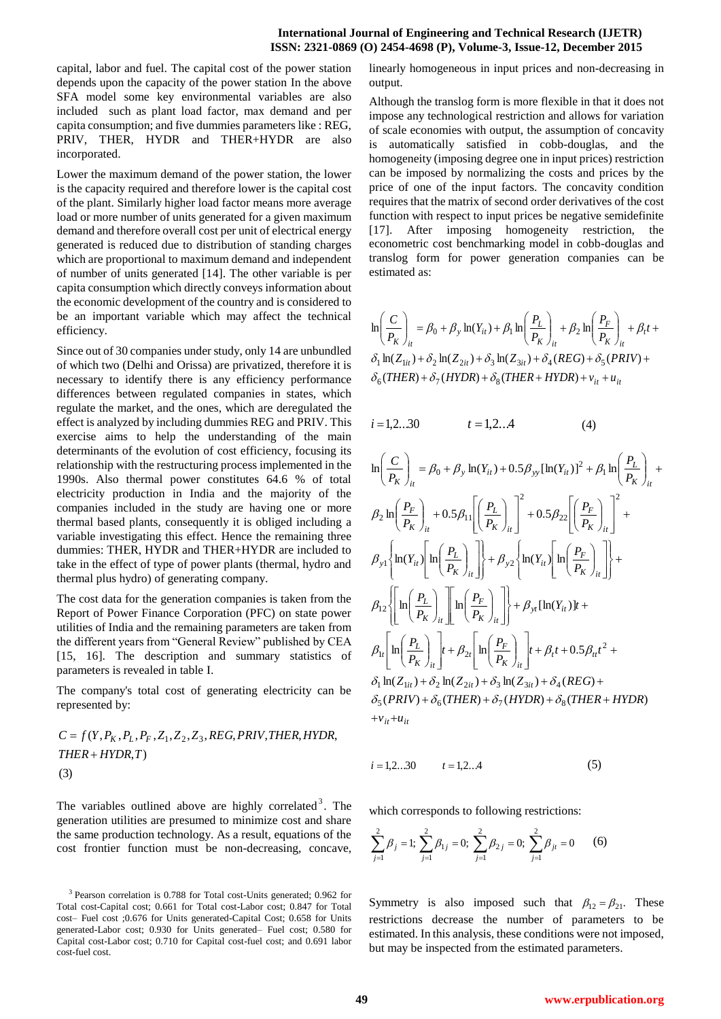capital, labor and fuel. The capital cost of the power station depends upon the capacity of the power station In the above SFA model some key environmental variables are also included such as plant load factor, max demand and per capita consumption; and five dummies parameters like : REG, PRIV, THER, HYDR and THER+HYDR are also incorporated.

Lower the maximum demand of the power station, the lower is the capacity required and therefore lower is the capital cost of the plant. Similarly higher load factor means more average load or more number of units generated for a given maximum demand and therefore overall cost per unit of electrical energy generated is reduced due to distribution of standing charges which are proportional to maximum demand and independent of number of units generated [14]. The other variable is per capita consumption which directly conveys information about the economic development of the country and is considered to be an important variable which may affect the technical efficiency.

Since out of 30 companies under study, only 14 are unbundled of which two (Delhi and Orissa) are privatized, therefore it is necessary to identify there is any efficiency performance differences between regulated companies in states, which regulate the market, and the ones, which are deregulated the effect is analyzed by including dummies REG and PRIV. This exercise aims to help the understanding of the main determinants of the evolution of cost efficiency, focusing its relationship with the restructuring process implemented in the 1990s. Also thermal power constitutes 64.6 % of total electricity production in India and the majority of the companies included in the study are having one or more thermal based plants, consequently it is obliged including a variable investigating this effect. Hence the remaining three dummies: THER, HYDR and THER+HYDR are included to take in the effect of type of power plants (thermal, hydro and thermal plus hydro) of generating company.

The cost data for the generation companies is taken from the Report of Power Finance Corporation (PFC) on state power utilities of India and the remaining parameters are taken from the different years from "General Review" published by CEA [15, 16]. The description and summary statistics of parameters is revealed in table I.

The company's total cost of generating electricity can be represented by:

$$
C = f(Y, P_K, P_L, P_F, Z_1, Z_2, Z_3, REG, PRIV, THEN, HYDR, THEN + HYDR, T)
$$
\n(3)

The variables outlined above are highly correlated<sup>3</sup>. The generation utilities are presumed to minimize cost and share the same production technology. As a result, equations of the cost frontier function must be non-decreasing, concave,

linearly homogeneous in input prices and non-decreasing in output.

Although the translog form is more flexible in that it does not impose any technological restriction and allows for variation of scale economies with output, the assumption of concavity is automatically satisfied in cobb-douglas, and the homogeneity (imposing degree one in input prices) restriction can be imposed by normalizing the costs and prices by the price of one of the input factors. The concavity condition requires that the matrix of second order derivatives of the cost function with respect to input prices be negative semidefinite [17]. After imposing homogeneity restriction, the econometric cost benchmarking model in cobb-douglas and translog form for power generation companies can be estimated as:

$$
\ln\left(\frac{C}{P_K}\right)_{it} = \beta_0 + \beta_y \ln(Y_{it}) + \beta_1 \ln\left(\frac{P_L}{P_K}\right)_{it} + \beta_2 \ln\left(\frac{P_F}{P_K}\right)_{it} + \beta_t t + \delta_1 \ln(Z_{1it}) + \delta_2 \ln(Z_{2it}) + \delta_3 \ln(Z_{3it}) + \delta_4 (REG) + \delta_5 (PRIV) + \delta_6 (THER) + \delta_7 (HYDR) + \delta_8 (THER + HYDR) + v_{it} + u_{it}
$$

$$
i = 1, 2...30 \qquad \qquad t = 1, 2...4 \tag{4}
$$

$$
\ln\left(\frac{C}{P_K}\right)_i = \beta_0 + \beta_y \ln(Y_{it}) + 0.5\beta_{yy} [\ln(Y_{it})]^2 + \beta_1 \ln\left(\frac{P_L}{P_K}\right)_i + \beta_2 \ln\left(\frac{P_F}{P_K}\right)_{it} + 0.5\beta_{11} \left[\left(\frac{P_L}{P_K}\right)_{it}\right]^2 + 0.5\beta_{22} \left[\left(\frac{P_F}{P_K}\right)_{it}\right]^2 + \beta_3 \ln(Y_{it}) \left[\ln\left(\frac{P_L}{P_K}\right)_{it}\right]^2 + \beta_4 \ln(Y_{it}) \left[\ln\left(\frac{P_L}{P_K}\right)_{it}\right] + \beta_{y2} \left{\ln(Y_{it}) \left[\ln\left(\frac{P_F}{P_K}\right)_{it}\right]\right} + \beta_{12} \left[\ln\left(\frac{P_L}{P_K}\right)_{it}\right] \ln\left(\frac{P_F}{P_K}\right)_{it} + \beta_{11} [\ln(Y_{it})]t + \beta_4 \left[\ln\left(\frac{P_L}{P_K}\right)_{it}\right] + \beta_2 \left[\ln\left(\frac{P_F}{P_K}\right)_{it}\right] + \beta_1 t + 0.5\beta_{it} t^2 + \delta_1 \ln(Z_{1it}) + \delta_2 \ln(Z_{2it}) + \delta_3 \ln(Z_{3it}) + \delta_4 (REG) + \delta_5 (PRIV) + \delta_6 (THER) + \delta_7 (HYDR) + \delta_8 (THER + HYDR)
$$

$$
i = 1, 2...30 \qquad t = 1, 2...4 \tag{5}
$$

which corresponds to following restrictions:

$$
\sum_{j=1}^{2} \beta_j = 1; \ \sum_{j=1}^{2} \beta_{1j} = 0; \ \sum_{j=1}^{2} \beta_{2j} = 0; \ \sum_{j=1}^{2} \beta_{jt} = 0 \qquad (6)
$$

Symmetry is also imposed such that  $\beta_{12} = \beta_{21}$ . These restrictions decrease the number of parameters to be estimated. In this analysis, these conditions were not imposed, but may be inspected from the estimated parameters.

<sup>3</sup> Pearson correlation is 0.788 for Total cost-Units generated; 0.962 for Total cost-Capital cost; 0.661 for Total cost-Labor cost; 0.847 for Total cost– Fuel cost ;0.676 for Units generated-Capital Cost; 0.658 for Units generated-Labor cost; 0.930 for Units generated– Fuel cost; 0.580 for Capital cost-Labor cost; 0.710 for Capital cost-fuel cost; and 0.691 labor cost-fuel cost.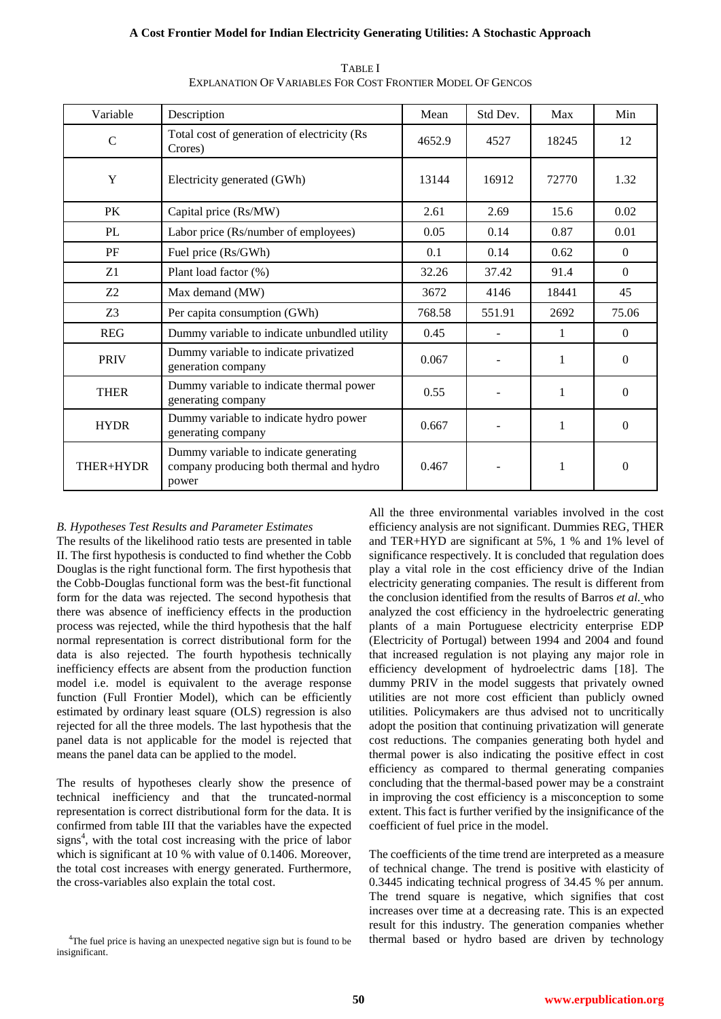## **A Cost Frontier Model for Indian Electricity Generating Utilities: A Stochastic Approach**

| Variable                                                                                                | Description                                                    | Mean   | Std Dev. | Max          | Min      |
|---------------------------------------------------------------------------------------------------------|----------------------------------------------------------------|--------|----------|--------------|----------|
| $\mathcal{C}$                                                                                           | Total cost of generation of electricity (Rs<br>Crores)         | 4652.9 | 4527     | 18245        | 12       |
| Y                                                                                                       | Electricity generated (GWh)                                    | 13144  | 16912    | 72770        | 1.32     |
| <b>PK</b>                                                                                               | Capital price (Rs/MW)                                          | 2.61   | 2.69     | 15.6         | 0.02     |
| PL                                                                                                      | Labor price (Rs/number of employees)                           | 0.05   | 0.14     | 0.87         | 0.01     |
| PF                                                                                                      | Fuel price (Rs/GWh)                                            | 0.1    | 0.14     | 0.62         | $\theta$ |
| Z1                                                                                                      | Plant load factor (%)                                          |        | 37.42    | 91.4         | $\theta$ |
| Z <sub>2</sub>                                                                                          | Max demand (MW)                                                |        | 4146     | 18441        | 45       |
| Z <sub>3</sub>                                                                                          | Per capita consumption (GWh)                                   |        | 551.91   | 2692         | 75.06    |
| <b>REG</b>                                                                                              | Dummy variable to indicate unbundled utility                   |        |          | 1            | $\theta$ |
| <b>PRIV</b>                                                                                             | Dummy variable to indicate privatized<br>generation company    |        |          | 1            | $\Omega$ |
| <b>THER</b>                                                                                             | Dummy variable to indicate thermal power<br>generating company |        |          | $\mathbf{1}$ | $\Omega$ |
| <b>HYDR</b>                                                                                             | Dummy variable to indicate hydro power<br>generating company   |        |          | 1            | $\Omega$ |
| Dummy variable to indicate generating<br>company producing both thermal and hydro<br>THER+HYDR<br>power |                                                                | 0.467  |          | 1            | $\Omega$ |

TABLE I EXPLANATION OF VARIABLES FOR COST FRONTIER MODEL OF GENCOS

# *B. Hypotheses Test Results and Parameter Estimates*

The results of the likelihood ratio tests are presented in table II. The first hypothesis is conducted to find whether the Cobb Douglas is the right functional form. The first hypothesis that the Cobb-Douglas functional form was the best-fit functional form for the data was rejected. The second hypothesis that there was absence of inefficiency effects in the production process was rejected, while the third hypothesis that the half normal representation is correct distributional form for the data is also rejected. The fourth hypothesis technically inefficiency effects are absent from the production function model i.e. model is equivalent to the average response function (Full Frontier Model), which can be efficiently estimated by ordinary least square (OLS) regression is also rejected for all the three models. The last hypothesis that the panel data is not applicable for the model is rejected that means the panel data can be applied to the model.

The results of hypotheses clearly show the presence of technical inefficiency and that the truncated-normal representation is correct distributional form for the data. It is confirmed from table III that the variables have the expected signs<sup>4</sup>, with the total cost increasing with the price of labor which is significant at 10 % with value of 0.1406. Moreover, the total cost increases with energy generated. Furthermore, the cross-variables also explain the total cost.

<sup>4</sup>The fuel price is having an unexpected negative sign but is found to be insignificant

All the three environmental variables involved in the cost efficiency analysis are not significant. Dummies REG, THER and TER+HYD are significant at 5%, 1 % and 1% level of significance respectively. It is concluded that regulation does play a vital role in the cost efficiency drive of the Indian electricity generating companies. The result is different from the conclusion identified from the results of [Barros](file:///F:/New%20hyperlink/2007,%20barros.ppt) *et al.* [w](file:///F:/New%20hyperlink/2007,%20barros.ppt)ho analyzed the cost efficiency in the hydroelectric generating plants of a main Portuguese electricity enterprise EDP (Electricity of Portugal) between 1994 and 2004 and found that increased regulation is not playing any major role in efficiency development of hydroelectric dams [18]. The dummy PRIV in the model suggests that privately owned utilities are not more cost efficient than publicly owned utilities. Policymakers are thus advised not to uncritically adopt the position that continuing privatization will generate cost reductions. The companies generating both hydel and thermal power is also indicating the positive effect in cost efficiency as compared to thermal generating companies concluding that the thermal-based power may be a constraint in improving the cost efficiency is a misconception to some extent. This fact is further verified by the insignificance of the coefficient of fuel price in the model.

The coefficients of the time trend are interpreted as a measure of technical change. The trend is positive with elasticity of 0.3445 indicating technical progress of 34.45 % per annum. The trend square is negative, which signifies that cost increases over time at a decreasing rate. This is an expected result for this industry. The generation companies whether thermal based or hydro based are driven by technology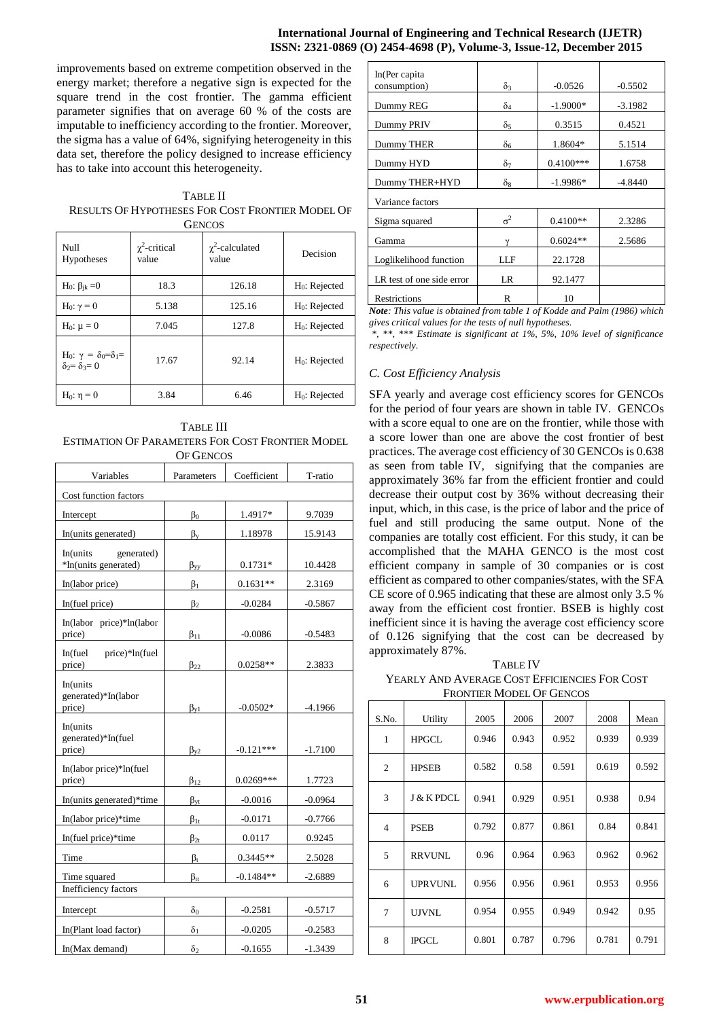## **International Journal of Engineering and Technical Research (IJETR) ISSN: 2321-0869 (O) 2454-4698 (P), Volume-3, Issue-12, December 2015**

improvements based on extreme competition observed in the energy market; therefore a negative sign is expected for the square trend in the cost frontier. The gamma efficient parameter signifies that on average 60 % of the costs are imputable to inefficiency according to the frontier. Moreover, the sigma has a value of 64%, signifying heterogeneity in this data set, therefore the policy designed to increase efficiency has to take into account this heterogeneity.

TABLE II RESULTS OF HYPOTHESES FOR COST FRONTIER MODEL OF **GENCOS** 

| Null<br>Hypotheses                                                                 | $\chi^2$ -critical<br>value | $\chi^2$ -calculated<br>value | Decision                  |
|------------------------------------------------------------------------------------|-----------------------------|-------------------------------|---------------------------|
| H <sub>0</sub> : $\beta_{ik}$ = 0                                                  | 18.3                        | 126.18                        | $H_0$ : Rejected          |
| H <sub>0</sub> : $\gamma = 0$                                                      | 5.138                       | 125.16                        | $H_0$ : Rejected          |
| H <sub>0</sub> : $\mu = 0$                                                         | 7.045                       | 127.8                         | H <sub>0</sub> : Rejected |
| H <sub>0</sub> : γ = δ <sub>0</sub> =δ <sub>1</sub> =<br>$\delta_2 = \delta_3 = 0$ | 17.67                       | 92.14                         | $H_0$ : Rejected          |
| $H_0: η = 0$                                                                       | 3.84                        | 6.46                          | $H_0$ : Rejected          |

TABLE III ESTIMATION OF PARAMETERS FOR COST FRONTIER MODEL OF GENCOS

| Variables                                      | Parameters       | Coefficient | T-ratio   |  |  |
|------------------------------------------------|------------------|-------------|-----------|--|--|
| Cost function factors                          |                  |             |           |  |  |
| Intercept                                      | $\beta_0$        | 1.4917*     | 9.7039    |  |  |
| In(units generated)                            | $\beta_{y}$      | 1.18978     | 15.9143   |  |  |
| In(units<br>generated)<br>*In(units generated) | $\beta_{\rm vv}$ | $0.1731*$   | 10.4428   |  |  |
| In(labor price)                                | $\beta_1$        | $0.1631**$  | 2.3169    |  |  |
| In(fuel price)                                 | $\beta_2$        | $-0.0284$   | $-0.5867$ |  |  |
| In(labor price)*ln(labor<br>price)             | $\beta_{11}$     | $-0.0086$   | $-0.5483$ |  |  |
| In(fuel<br>price)*ln(fuel<br>price)            | $\beta_{22}$     | $0.0258**$  | 2.3833    |  |  |
| In(units<br>generated)*In(labor<br>price)      | $\beta_{\rm v1}$ | $-0.0502*$  | $-4.1966$ |  |  |
| In(units<br>generated)*In(fuel<br>price)       | $\beta_{v2}$     | $-0.121***$ | $-1.7100$ |  |  |
| In(labor price)*ln(fuel<br>price)              | $\beta_{12}$     | $0.0269***$ | 1.7723    |  |  |
| In(units generated)*time                       | $\beta_{yt}$     | $-0.0016$   | $-0.0964$ |  |  |
| In(labor price)*time                           | $\beta_{1t}$     | $-0.0171$   | $-0.7766$ |  |  |
| In(fuel price)*time                            | $\beta_{2t}$     | 0.0117      | 0.9245    |  |  |
| Time                                           | $\beta_t$        | $0.3445**$  | 2.5028    |  |  |
| Time squared<br>Inefficiency factors           | $\beta_{tt}$     | $-0.1484**$ | $-2.6889$ |  |  |
| Intercept                                      | δo               | $-0.2581$   | $-0.5717$ |  |  |
| In(Plant load factor)                          | $\delta_1$       | $-0.0205$   | $-0.2583$ |  |  |
| In(Max demand)                                 | $\delta_2$       | $-0.1655$   | $-1.3439$ |  |  |

| In(Per capita)            |                       |             |           |
|---------------------------|-----------------------|-------------|-----------|
| consumption)              | $\delta_3$            | $-0.0526$   | $-0.5502$ |
| Dummy REG                 | $\delta$ <sup>4</sup> | $-1.9000*$  | $-3.1982$ |
| Dummy PRIV                | $\delta_5$            | 0.3515      | 0.4521    |
| Dummy THER                | $\delta_6$            | 1.8604*     | 5.1514    |
| Dummy HYD                 | $\delta_7$            | $0.4100***$ | 1.6758    |
| Dummy THER+HYD            | $\delta_8$            | $-1.9986*$  | $-4.8440$ |
| Variance factors          |                       |             |           |
| Sigma squared             | $\sigma^2$            | $0.4100**$  | 2.3286    |
| Gamma                     | $\gamma$              | $0.6024**$  | 2.5686    |
| Loglikelihood function    | LLF                   | 22.1728     |           |
| LR test of one side error | LR                    | 92.1477     |           |
| Restrictions              | R                     | 10          |           |

*Note: This value is obtained from table 1 of Kodde and Palm (1986) which gives critical values for the tests of null hypotheses.* 

*\*, \*\*, \*\*\* Estimate is significant at 1%, 5%, 10% level of significance respectively.* 

# *C. Cost Efficiency Analysis*

SFA yearly and average cost efficiency scores for GENCOs for the period of four years are shown in table IV. GENCOs with a score equal to one are on the frontier, while those with a score lower than one are above the cost frontier of best practices. The average cost efficiency of 30 GENCOs is 0.638 as seen from table IV, signifying that the companies are approximately 36% far from the efficient frontier and could decrease their output cost by 36% without decreasing their input, which, in this case, is the price of labor and the price of fuel and still producing the same output. None of the companies are totally cost efficient. For this study, it can be accomplished that the MAHA GENCO is the most cost efficient company in sample of 30 companies or is cost efficient as compared to other companies/states, with the SFA CE score of 0.965 indicating that these are almost only 3.5 % away from the efficient cost frontier. BSEB is highly cost inefficient since it is having the average cost efficiency score of 0.126 signifying that the cost can be decreased by approximately 87%.

TABLE IV YEARLY AND AVERAGE COST EFFICIENCIES FOR COST FRONTIER MODEL OF GENCOS

| S.No.          | Utility               | 2005  | 2006  | 2007  | 2008  | Mean  |
|----------------|-----------------------|-------|-------|-------|-------|-------|
| 1              | <b>HPGCL</b>          | 0.946 | 0.943 | 0.952 | 0.939 | 0.939 |
| $\overline{2}$ | <b>HPSEB</b>          | 0.582 | 0.58  | 0.591 | 0.619 | 0.592 |
| 3              | <b>J &amp; K PDCL</b> | 0.941 | 0.929 | 0.951 | 0.938 | 0.94  |
| $\overline{4}$ | <b>PSEB</b>           | 0.792 | 0.877 | 0.861 | 0.84  | 0.841 |
| 5              | <b>RRVUNL</b>         | 0.96  | 0.964 | 0.963 | 0.962 | 0.962 |
| 6              | <b>UPRVUNL</b>        | 0.956 | 0.956 | 0.961 | 0.953 | 0.956 |
| 7              | <b>UJVNL</b>          | 0.954 | 0.955 | 0.949 | 0.942 | 0.95  |
| 8              | <b>IPGCL</b>          | 0.801 | 0.787 | 0.796 | 0.781 | 0.791 |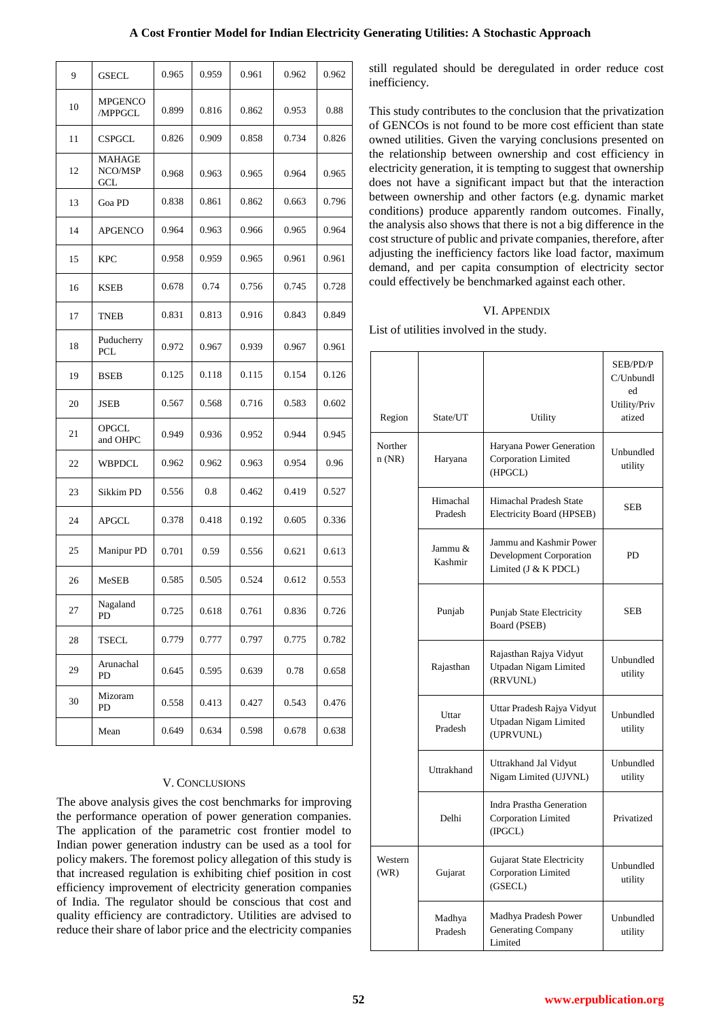| A Cost Frontier Model for Indian Electricity Generating Utilities: A Stochastic Approach |  |  |
|------------------------------------------------------------------------------------------|--|--|
|------------------------------------------------------------------------------------------|--|--|

| 9  | GSECL                           | 0.965 | 0.959 | 0.961 | 0.962 | 0.962 |
|----|---------------------------------|-------|-------|-------|-------|-------|
| 10 | <b>MPGENCO</b><br>/MPPGCL       | 0.899 | 0.816 | 0.862 | 0.953 | 0.88  |
| 11 | <b>CSPGCL</b>                   | 0.826 | 0.909 | 0.858 | 0.734 | 0.826 |
| 12 | <b>MAHAGE</b><br>NCO/MSP<br>GCL | 0.968 | 0.963 | 0.965 | 0.964 | 0.965 |
| 13 | Goa PD                          | 0.838 | 0.861 | 0.862 | 0.663 | 0.796 |
| 14 | <b>APGENCO</b>                  | 0.964 | 0.963 | 0.966 | 0.965 | 0.964 |
| 15 | <b>KPC</b>                      | 0.958 | 0.959 | 0.965 | 0.961 | 0.961 |
| 16 | <b>KSEB</b>                     | 0.678 | 0.74  | 0.756 | 0.745 | 0.728 |
| 17 | TNEB                            | 0.831 | 0.813 | 0.916 | 0.843 | 0.849 |
| 18 | Puducherry<br><b>PCL</b>        | 0.972 | 0.967 | 0.939 | 0.967 | 0.961 |
| 19 | <b>BSEB</b>                     | 0.125 | 0.118 | 0.115 | 0.154 | 0.126 |
| 20 | JSEB                            | 0.567 | 0.568 | 0.716 | 0.583 | 0.602 |
| 21 | <b>OPGCL</b><br>and OHPC        | 0.949 | 0.936 | 0.952 | 0.944 | 0.945 |
| 22 | WBPDCL                          | 0.962 | 0.962 | 0.963 | 0.954 | 0.96  |
| 23 | Sikkim PD                       | 0.556 | 0.8   | 0.462 | 0.419 | 0.527 |
| 24 | <b>APGCL</b>                    | 0.378 | 0.418 | 0.192 | 0.605 | 0.336 |
| 25 | Manipur PD                      | 0.701 | 0.59  | 0.556 | 0.621 | 0.613 |
| 26 | MeSEB                           | 0.585 | 0.505 | 0.524 | 0.612 | 0.553 |
| 27 | Nagaland<br>PD                  | 0.725 | 0.618 | 0.761 | 0.836 | 0.726 |
| 28 | TSECL                           | 0.779 | 0.777 | 0.797 | 0.775 | 0.782 |
| 29 | Arunachal<br>PD                 | 0.645 | 0.595 | 0.639 | 0.78  | 0.658 |
| 30 | Mizoram<br>PD                   | 0.558 | 0.413 | 0.427 | 0.543 | 0.476 |
|    | Mean                            | 0.649 | 0.634 | 0.598 | 0.678 | 0.638 |

## V. CONCLUSIONS

The above analysis gives the cost benchmarks for improving the performance operation of power generation companies. The application of the parametric cost frontier model to Indian power generation industry can be used as a tool for policy makers. The foremost policy allegation of this study is that increased regulation is exhibiting chief position in cost efficiency improvement of electricity generation companies of India. The regulator should be conscious that cost and quality efficiency are contradictory. Utilities are advised to reduce their share of labor price and the electricity companies

still regulated should be deregulated in order reduce cost inefficiency.

This study contributes to the conclusion that the privatization of GENCOs is not found to be more cost efficient than state owned utilities. Given the varying conclusions presented on the relationship between ownership and cost efficiency in electricity generation, it is tempting to suggest that ownership does not have a significant impact but that the interaction between ownership and other factors (e.g. dynamic market conditions) produce apparently random outcomes. Finally, the analysis also shows that there is not a big difference in the cost structure of public and private companies, therefore, after adjusting the inefficiency factors like load factor, maximum demand, and per capita consumption of electricity sector could effectively be benchmarked against each other.

## VI. APPENDIX

List of utilities involved in the study.

| Region           | State/UT            | Utility                                                                    | SEB/PD/P<br>C/Unbundl<br>ed<br>Utility/Priv<br>atized |
|------------------|---------------------|----------------------------------------------------------------------------|-------------------------------------------------------|
| Norther<br>n(NR) | Haryana             | Haryana Power Generation<br><b>Corporation Limited</b><br>(HPGCL)          | Unbundled<br>utility                                  |
|                  | Himachal<br>Pradesh | Himachal Pradesh State<br>Electricity Board (HPSEB)                        | <b>SEB</b>                                            |
|                  | Jammu &<br>Kashmir  | Jammu and Kashmir Power<br>Development Corporation<br>Limited (J & K PDCL) | PD                                                    |
|                  | Punjab              | Punjab State Electricity<br>Board (PSEB)                                   | SEB                                                   |
|                  | Rajasthan           | Rajasthan Rajya Vidyut<br>Utpadan Nigam Limited<br>(RRVUNL)                | Unbundled<br>utility                                  |
|                  | Uttar<br>Pradesh    | Uttar Pradesh Rajya Vidyut<br>Utpadan Nigam Limited<br>(UPRVUNL)           | Unbundled<br>utility                                  |
|                  | Uttrakhand          | Uttrakhand Jal Vidyut<br>Nigam Limited (UJVNL)                             | Unbundled<br>utility                                  |
|                  | Delhi               | Indra Prastha Generation<br>Corporation Limited<br>(IPGCL)                 | Privatized                                            |
| Western<br>(WR)  | Gujarat             | Gujarat State Electricity<br>Corporation Limited<br>(GSECL)                | Unbundled<br>utility                                  |
|                  | Madhya<br>Pradesh   | Madhya Pradesh Power<br><b>Generating Company</b><br>Limited               | Unbundled<br>utility                                  |